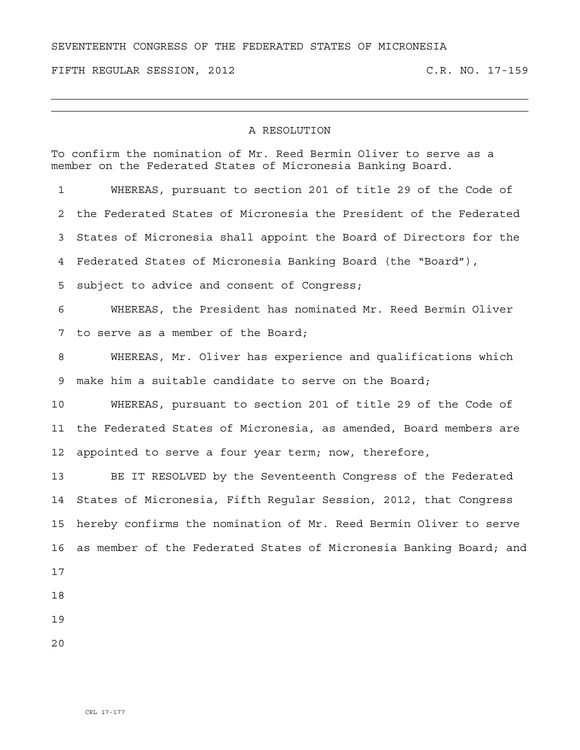## SEVENTEENTH CONGRESS OF THE FEDERATED STATES OF MICRONESIA

FIFTH REGULAR SESSION, 2012 C.R. NO. 17-159

## A RESOLUTION

To confirm the nomination of Mr. Reed Bermin Oliver to serve as a member on the Federated States of Micronesia Banking Board. 1 WHEREAS, pursuant to section 201 of title 29 of the Code of 2 the Federated States of Micronesia the President of the Federated 3 States of Micronesia shall appoint the Board of Directors for the 4 Federated States of Micronesia Banking Board (the "Board"), 5 subject to advice and consent of Congress; 6 WHEREAS, the President has nominated Mr. Reed Bermin Oliver 7 to serve as a member of the Board; 8 WHEREAS, Mr. Oliver has experience and qualifications which 9 make him a suitable candidate to serve on the Board; 10 WHEREAS, pursuant to section 201 of title 29 of the Code of 11 the Federated States of Micronesia, as amended, Board members are 12 appointed to serve a four year term; now, therefore, 13 BE IT RESOLVED by the Seventeenth Congress of the Federated 14 States of Micronesia, Fifth Regular Session, 2012, that Congress 15 hereby confirms the nomination of Mr. Reed Bermin Oliver to serve 16 as member of the Federated States of Micronesia Banking Board; and 17 18 19

20